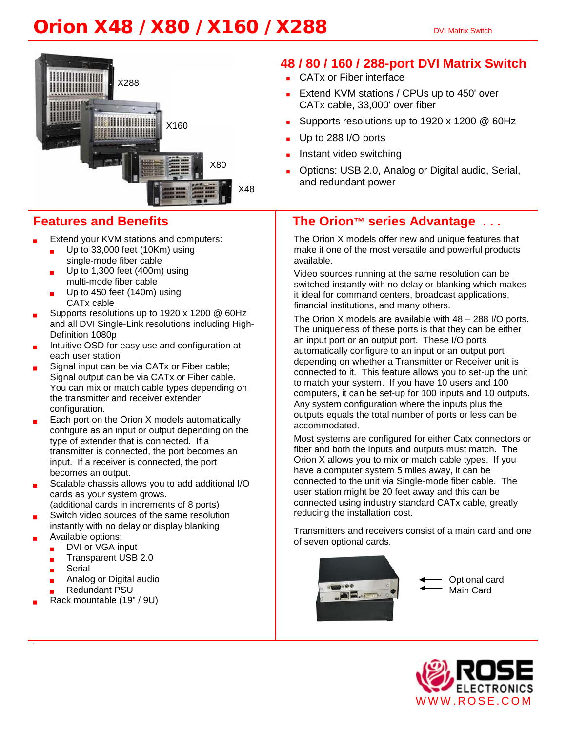# **Orion X48 / X80 / X160 / X288** DVI Matrix Switch



## **Features and Benefits**

- Extend your KVM stations and computers:
	- Up to 33,000 feet (10Km) using single-mode fiber cable
	- Up to 1,300 feet (400m) using multi-mode fiber cable
	- Up to 450 feet  $(140m)$  using CATx cable
- Supports resolutions up to 1920 x 1200 @ 60Hz and all DVI Single-Link resolutions including High-Definition 1080p
- Intuitive OSD for easy use and configuration at each user station
- Signal input can be via CATx or Fiber cable; Signal output can be via CATx or Fiber cable. You can mix or match cable types depending on the transmitter and receiver extender configuration.
- Each port on the Orion X models automatically configure as an input or output depending on the type of extender that is connected. If a transmitter is connected, the port becomes an input. If a receiver is connected, the port becomes an output.
- Scalable chassis allows you to add additional I/O cards as your system grows. (additional cards in increments of 8 ports)

.

- Switch video sources of the same resolution
- instantly with no delay or display blanking
- Available options:
	- DVI or VGA input
	- Transparent USB 2.0
	- Serial
	- Analog or Digital audio
	- Redundant PSU
- Rack mountable (19" / 9U)

## **48 / 80 / 160 / 288-port DVI Matrix Switch**

- **CATx or Fiber interface**
- Extend KVM stations / CPUs up to 450' over CATx cable, 33,000' over fiber
- Supports resolutions up to 1920 x 1200 @ 60Hz
- Up to 288 I/O ports
- Instant video switching
- Options: USB 2.0, Analog or Digital audio, Serial, and redundant power

## **The Orion™ series Advantage . . .**

The Orion X models offer new and unique features that make it one of the most versatile and powerful products available.

Video sources running at the same resolution can be switched instantly with no delay or blanking which makes it ideal for command centers, broadcast applications, financial institutions, and many others.

The Orion X models are available with 48 – 288 I/O ports. The uniqueness of these ports is that they can be either an input port or an output port. These I/O ports automatically configure to an input or an output port depending on whether a Transmitter or Receiver unit is connected to it. This feature allows you to set-up the unit to match your system. If you have 10 users and 100 computers, it can be set-up for 100 inputs and 10 outputs. Any system configuration where the inputs plus the outputs equals the total number of ports or less can be accommodated.

Most systems are configured for either Catx connectors or fiber and both the inputs and outputs must match. The Orion X allows you to mix or match cable types. If you have a computer system 5 miles away, it can be connected to the unit via Single-mode fiber cable. The user station might be 20 feet away and this can be connected using industry standard CATx cable, greatly reducing the installation cost.

Transmitters and receivers consist of a main card and one of seven optional cards.



Optional card Main Card